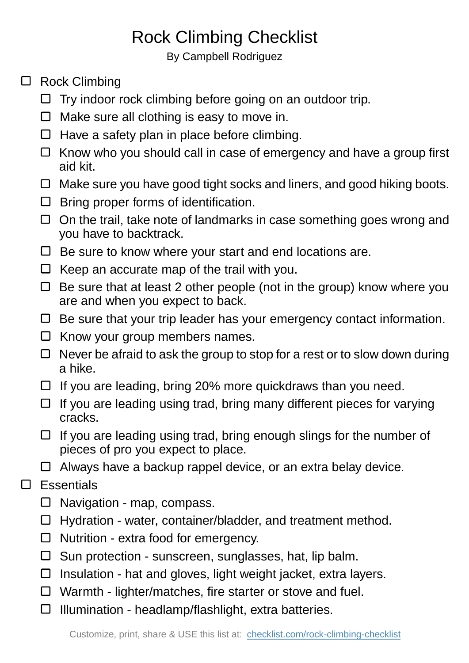## Rock Climbing Checklist

By Campbell Rodriguez

- □ Rock Climbing
	- $\Box$  Try indoor rock climbing before going on an outdoor trip.
	- $\Box$  Make sure all clothing is easy to move in.
	- $\Box$  Have a safety plan in place before climbing.
	- $\Box$  Know who you should call in case of emergency and have a group first aid kit.
	- $\Box$  Make sure you have good tight socks and liners, and good hiking boots.
	- $\Box$  Bring proper forms of identification.
	- $\Box$  On the trail, take note of landmarks in case something goes wrong and you have to backtrack.
	- $\Box$  Be sure to know where your start and end locations are.
	- $\Box$  Keep an accurate map of the trail with you.
	- $\Box$  Be sure that at least 2 other people (not in the group) know where you are and when you expect to back.
	- $\Box$  Be sure that your trip leader has your emergency contact information.
	- $\Box$  Know your group members names.
	- $\Box$  Never be afraid to ask the group to stop for a rest or to slow down during a hike.
	- $\Box$  If you are leading, bring 20% more quickdraws than you need.
	- $\Box$  If you are leading using trad, bring many different pieces for varying cracks.
	- $\Box$  If you are leading using trad, bring enough slings for the number of pieces of pro you expect to place.
	- $\Box$  Always have a backup rappel device, or an extra belay device.
- □ Essentials
	- $\Box$  Navigation map, compass.
	- $\Box$  Hydration water, container/bladder, and treatment method.
	- $\Box$  Nutrition extra food for emergency.
	- $\square$  Sun protection sunscreen, sunglasses, hat, lip balm.
	- $\Box$  Insulation hat and gloves, light weight jacket, extra layers.
	- □ Warmth lighter/matches, fire starter or stove and fuel.
	- $\Box$  Illumination headlamp/flashlight, extra batteries.